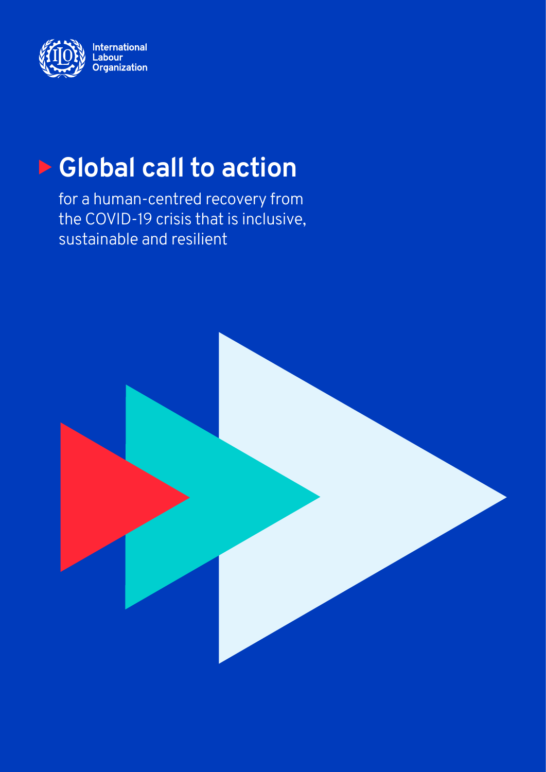

# **Ex Global call to action**

for a human-centred recovery from the COVID-19 crisis that is inclusive, sustainable and resilient

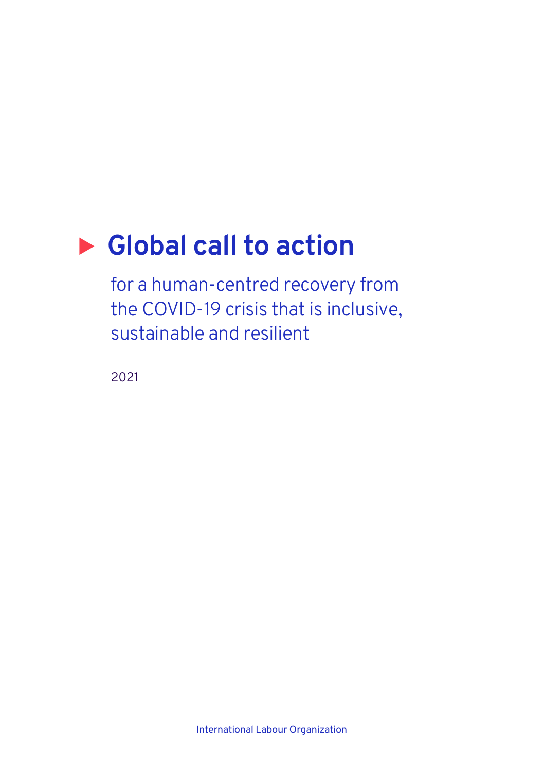# ▶ Global call to action

for a human-centred recovery from the COVID-19 crisis that is inclusive, sustainable and resilient

2021

International Labour Organization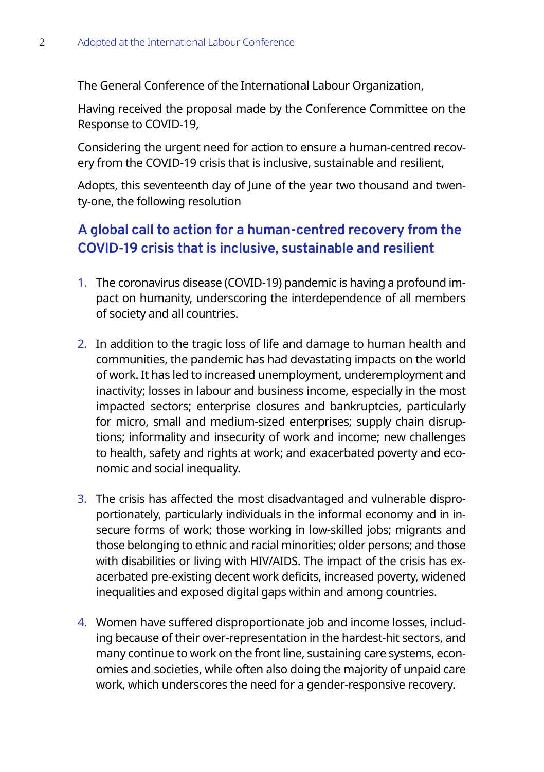The General Conference of the International Labour Organization,

Having received the proposal made by the Conference Committee on the Response to COVID-19,

Considering the urgent need for action to ensure a human-centred recovery from the COVID-19 crisis that is inclusive, sustainable and resilient,

Adopts, this seventeenth day of June of the year two thousand and twenty-one, the following resolution

# **A global call to action for a human-centred recovery from the COVID-19 crisis that is inclusive, sustainable and resilient**

- 1. The coronavirus disease (COVID-19) pandemic is having a profound impact on humanity, underscoring the interdependence of all members of society and all countries.
- 2. In addition to the tragic loss of life and damage to human health and communities, the pandemic has had devastating impacts on the world of work. It has led to increased unemployment, underemployment and inactivity; losses in labour and business income, especially in the most impacted sectors; enterprise closures and bankruptcies, particularly for micro, small and medium-sized enterprises; supply chain disruptions; informality and insecurity of work and income; new challenges to health, safety and rights at work; and exacerbated poverty and economic and social inequality.
- 3. The crisis has affected the most disadvantaged and vulnerable disproportionately, particularly individuals in the informal economy and in insecure forms of work; those working in low-skilled jobs; migrants and those belonging to ethnic and racial minorities; older persons; and those with disabilities or living with HIV/AIDS. The impact of the crisis has exacerbated pre-existing decent work deficits, increased poverty, widened inequalities and exposed digital gaps within and among countries.
- 4. Women have suffered disproportionate job and income losses, including because of their over-representation in the hardest-hit sectors, and many continue to work on the front line, sustaining care systems, economies and societies, while often also doing the majority of unpaid care work, which underscores the need for a gender-responsive recovery.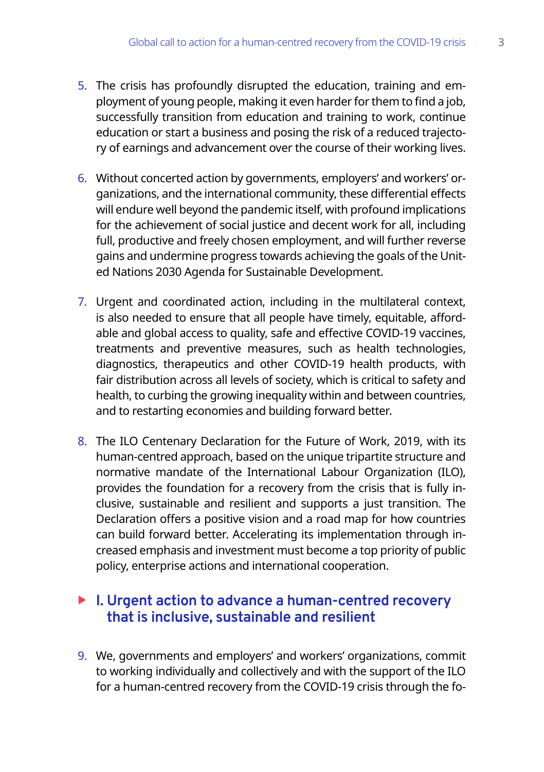- 5. The crisis has profoundly disrupted the education, training and employment of young people, making it even harder for them to find a job, successfully transition from education and training to work, continue education or start a business and posing the risk of a reduced trajectory of earnings and advancement over the course of their working lives.
- 6. Without concerted action by governments, employers' and workers' organizations, and the international community, these differential effects will endure well beyond the pandemic itself, with profound implications for the achievement of social justice and decent work for all, including full, productive and freely chosen employment, and will further reverse gains and undermine progress towards achieving the goals of the United Nations 2030 Agenda for Sustainable Development.
- 7. Urgent and coordinated action, including in the multilateral context, is also needed to ensure that all people have timely, equitable, affordable and global access to quality, safe and effective COVID-19 vaccines, treatments and preventive measures, such as health technologies, diagnostics, therapeutics and other COVID-19 health products, with fair distribution across all levels of society, which is critical to safety and health, to curbing the growing inequality within and between countries, and to restarting economies and building forward better.
- 8. The ILO Centenary Declaration for the Future of Work, 2019, with its human-centred approach, based on the unique tripartite structure and normative mandate of the International Labour Organization (ILO), provides the foundation for a recovery from the crisis that is fully inclusive, sustainable and resilient and supports a just transition. The Declaration offers a positive vision and a road map for how countries can build forward better. Accelerating its implementation through increased emphasis and investment must become a top priority of public policy, enterprise actions and international cooperation.

## ▶ I. Urgent action to advance a human-centred recovery **that is inclusive, sustainable and resilient**

9. We, governments and employers' and workers' organizations, commit to working individually and collectively and with the support of the ILO for a human-centred recovery from the COVID-19 crisis through the fo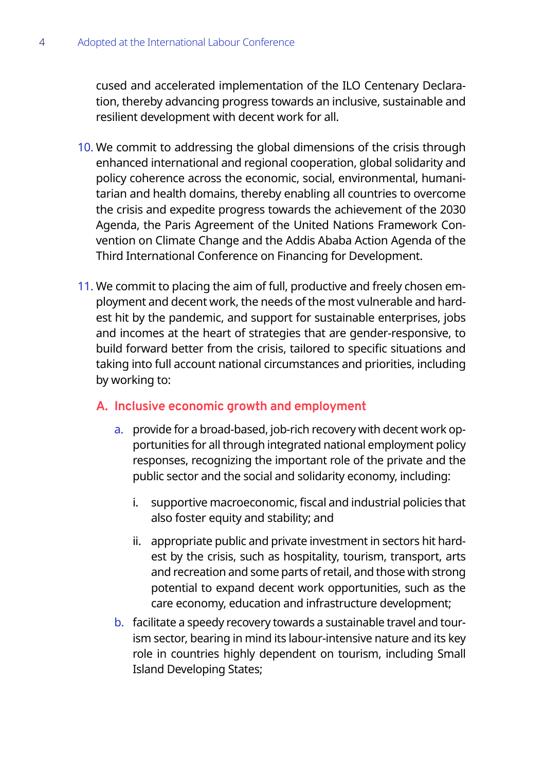cused and accelerated implementation of the ILO Centenary Declaration, thereby advancing progress towards an inclusive, sustainable and resilient development with decent work for all.

- 10. We commit to addressing the global dimensions of the crisis through enhanced international and regional cooperation, global solidarity and policy coherence across the economic, social, environmental, humanitarian and health domains, thereby enabling all countries to overcome the crisis and expedite progress towards the achievement of the 2030 Agenda, the Paris Agreement of the United Nations Framework Convention on Climate Change and the Addis Ababa Action Agenda of the Third International Conference on Financing for Development.
- 11. We commit to placing the aim of full, productive and freely chosen employment and decent work, the needs of the most vulnerable and hardest hit by the pandemic, and support for sustainable enterprises, jobs and incomes at the heart of strategies that are gender-responsive, to build forward better from the crisis, tailored to specific situations and taking into full account national circumstances and priorities, including by working to:

#### **A. Inclusive economic growth and employment**

- a. provide for a broad-based, job-rich recovery with decent work opportunities for all through integrated national employment policy responses, recognizing the important role of the private and the public sector and the social and solidarity economy, including:
	- i. supportive macroeconomic, fiscal and industrial policies that also foster equity and stability; and
	- ii. appropriate public and private investment in sectors hit hardest by the crisis, such as hospitality, tourism, transport, arts and recreation and some parts of retail, and those with strong potential to expand decent work opportunities, such as the care economy, education and infrastructure development;
- b. facilitate a speedy recovery towards a sustainable travel and tourism sector, bearing in mind its labour-intensive nature and its key role in countries highly dependent on tourism, including Small Island Developing States;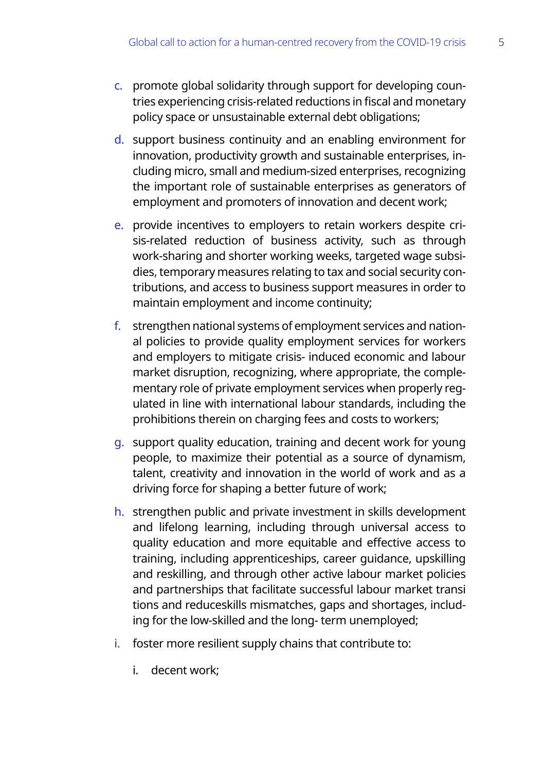- c. promote global solidarity through support for developing countries experiencing crisis-related reductions in fiscal and monetary policy space or unsustainable external debt obligations;
- d. support business continuity and an enabling environment for innovation, productivity growth and sustainable enterprises, including micro, small and medium-sized enterprises, recognizing the important role of sustainable enterprises as generators of employment and promoters of innovation and decent work;
- e. provide incentives to employers to retain workers despite crisis-related reduction of business activity, such as through work-sharing and shorter working weeks, targeted wage subsidies, temporary measures relating to tax and social security contributions, and access to business support measures in order to maintain employment and income continuity;
- f. strengthen national systems of employment services and national policies to provide quality employment services for workers and employers to mitigate crisis- induced economic and labour market disruption, recognizing, where appropriate, the complementary role of private employment services when properly regulated in line with international labour standards, including the prohibitions therein on charging fees and costs to workers;
- g. support quality education, training and decent work for young people, to maximize their potential as a source of dynamism, talent, creativity and innovation in the world of work and as a driving force for shaping a better future of work;
- h. strengthen public and private investment in skills development and lifelong learning, including through universal access to quality education and more equitable and effective access to training, including apprenticeships, career guidance, upskilling and reskilling, and through other active labour market policies and partnerships that facilitate successful labour market transi tions and reduceskills mismatches, gaps and shortages, including for the low-skilled and the long- term unemployed;
- i. foster more resilient supply chains that contribute to:
	- i. decent work;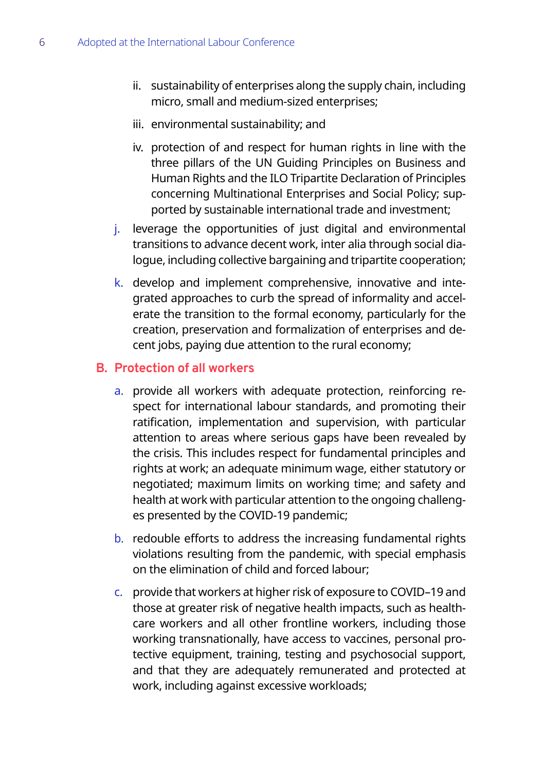- ii. sustainability of enterprises along the supply chain, including micro, small and medium-sized enterprises;
- iii. environmental sustainability; and
- iv. protection of and respect for human rights in line with the three pillars of the UN Guiding Principles on Business and Human Rights and the ILO Tripartite Declaration of Principles concerning Multinational Enterprises and Social Policy; supported by sustainable international trade and investment;
- j. leverage the opportunities of just digital and environmental transitions to advance decent work, inter alia through social dialogue, including collective bargaining and tripartite cooperation;
- k. develop and implement comprehensive, innovative and integrated approaches to curb the spread of informality and accelerate the transition to the formal economy, particularly for the creation, preservation and formalization of enterprises and decent jobs, paying due attention to the rural economy;

#### **B. Protection of all workers**

- a. provide all workers with adequate protection, reinforcing respect for international labour standards, and promoting their ratification, implementation and supervision, with particular attention to areas where serious gaps have been revealed by the crisis. This includes respect for fundamental principles and rights at work; an adequate minimum wage, either statutory or negotiated; maximum limits on working time; and safety and health at work with particular attention to the ongoing challenges presented by the COVID-19 pandemic;
- b. redouble efforts to address the increasing fundamental rights violations resulting from the pandemic, with special emphasis on the elimination of child and forced labour;
- c. provide that workers at higher risk of exposure to COVID–19 and those at greater risk of negative health impacts, such as healthcare workers and all other frontline workers, including those working transnationally, have access to vaccines, personal protective equipment, training, testing and psychosocial support, and that they are adequately remunerated and protected at work, including against excessive workloads;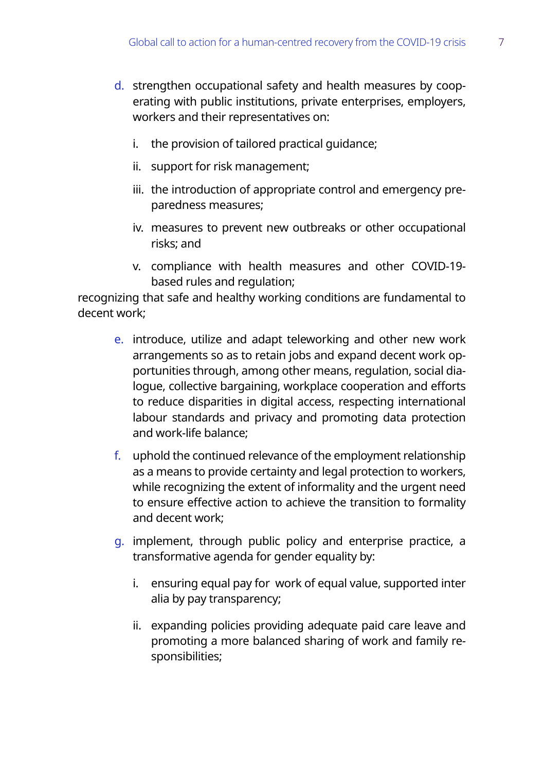- d. strengthen occupational safety and health measures by cooperating with public institutions, private enterprises, employers, workers and their representatives on:
	- i. the provision of tailored practical guidance;
	- ii. support for risk management;
	- iii. the introduction of appropriate control and emergency preparedness measures;
	- iv. measures to prevent new outbreaks or other occupational risks; and
	- v. compliance with health measures and other COVID-19 based rules and regulation;

recognizing that safe and healthy working conditions are fundamental to decent work;

- e. introduce, utilize and adapt teleworking and other new work arrangements so as to retain jobs and expand decent work opportunities through, among other means, regulation, social dialogue, collective bargaining, workplace cooperation and efforts to reduce disparities in digital access, respecting international labour standards and privacy and promoting data protection and work-life balance;
- f. uphold the continued relevance of the employment relationship as a means to provide certainty and legal protection to workers, while recognizing the extent of informality and the urgent need to ensure effective action to achieve the transition to formality and decent work;
- g. implement, through public policy and enterprise practice, a transformative agenda for gender equality by:
	- i. ensuring equal pay for work of equal value, supported inter alia by pay transparency;
	- ii. expanding policies providing adequate paid care leave and promoting a more balanced sharing of work and family responsibilities;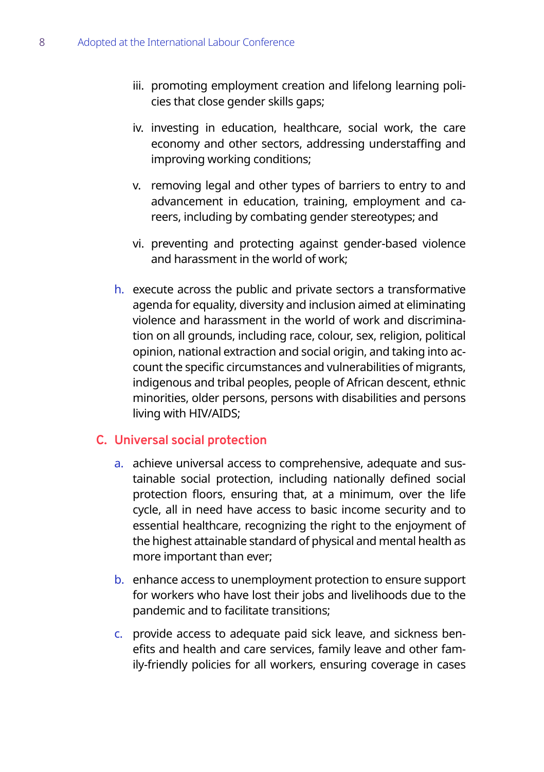- iii. promoting employment creation and lifelong learning policies that close gender skills gaps;
- iv. investing in education, healthcare, social work, the care economy and other sectors, addressing understaffing and improving working conditions;
- v. removing legal and other types of barriers to entry to and advancement in education, training, employment and careers, including by combating gender stereotypes; and
- vi. preventing and protecting against gender-based violence and harassment in the world of work;
- h. execute across the public and private sectors a transformative agenda for equality, diversity and inclusion aimed at eliminating violence and harassment in the world of work and discrimination on all grounds, including race, colour, sex, religion, political opinion, national extraction and social origin, and taking into account the specific circumstances and vulnerabilities of migrants, indigenous and tribal peoples, people of African descent, ethnic minorities, older persons, persons with disabilities and persons living with HIV/AIDS;

#### **C. Universal social protection**

- a. achieve universal access to comprehensive, adequate and sustainable social protection, including nationally defined social protection floors, ensuring that, at a minimum, over the life cycle, all in need have access to basic income security and to essential healthcare, recognizing the right to the enjoyment of the highest attainable standard of physical and mental health as more important than ever;
- b. enhance access to unemployment protection to ensure support for workers who have lost their jobs and livelihoods due to the pandemic and to facilitate transitions;
- c. provide access to adequate paid sick leave, and sickness benefits and health and care services, family leave and other family-friendly policies for all workers, ensuring coverage in cases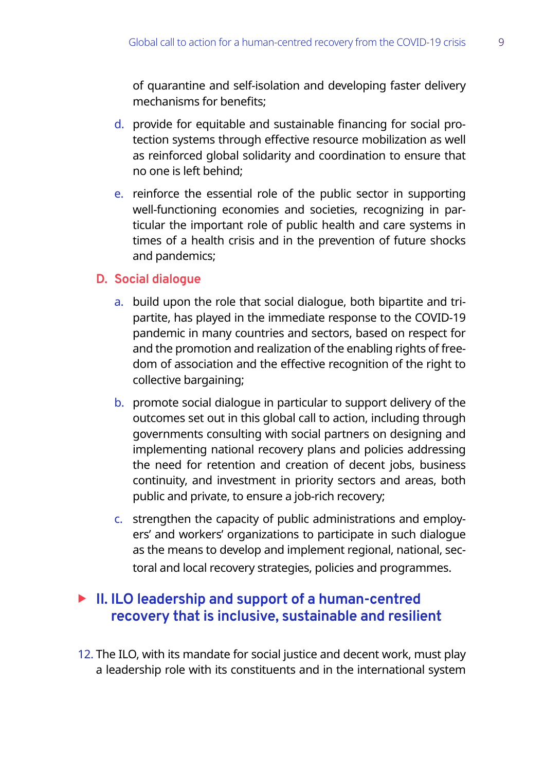of quarantine and self-isolation and developing faster delivery mechanisms for benefits;

- d. provide for equitable and sustainable financing for social protection systems through effective resource mobilization as well as reinforced global solidarity and coordination to ensure that no one is left behind;
- e. reinforce the essential role of the public sector in supporting well-functioning economies and societies, recognizing in particular the important role of public health and care systems in times of a health crisis and in the prevention of future shocks and pandemics;

#### **D. Social dialogue**

- a. build upon the role that social dialogue, both bipartite and tripartite, has played in the immediate response to the COVID-19 pandemic in many countries and sectors, based on respect for and the promotion and realization of the enabling rights of freedom of association and the effective recognition of the right to collective bargaining;
- b. promote social dialogue in particular to support delivery of the outcomes set out in this global call to action, including through governments consulting with social partners on designing and implementing national recovery plans and policies addressing the need for retention and creation of decent jobs, business continuity, and investment in priority sectors and areas, both public and private, to ensure a job-rich recovery;
- c. strengthen the capacity of public administrations and employers' and workers' organizations to participate in such dialogue as the means to develop and implement regional, national, sectoral and local recovery strategies, policies and programmes.

## ▶ II. ILO leadership and support of a human-centred **recovery that is inclusive, sustainable and resilient**

12. The ILO, with its mandate for social justice and decent work, must play a leadership role with its constituents and in the international system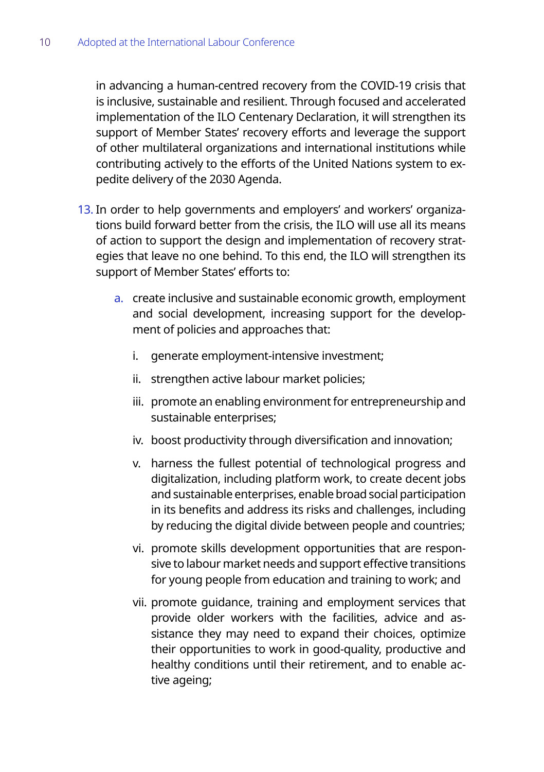in advancing a human-centred recovery from the COVID-19 crisis that is inclusive, sustainable and resilient. Through focused and accelerated implementation of the ILO Centenary Declaration, it will strengthen its support of Member States' recovery efforts and leverage the support of other multilateral organizations and international institutions while contributing actively to the efforts of the United Nations system to expedite delivery of the 2030 Agenda.

- 13. In order to help governments and employers' and workers' organizations build forward better from the crisis, the ILO will use all its means of action to support the design and implementation of recovery strategies that leave no one behind. To this end, the ILO will strengthen its support of Member States' efforts to:
	- a. create inclusive and sustainable economic growth, employment and social development, increasing support for the development of policies and approaches that:
		- i. generate employment-intensive investment;
		- ii. strengthen active labour market policies;
		- iii. promote an enabling environment for entrepreneurship and sustainable enterprises;
		- iv. boost productivity through diversification and innovation;
		- v. harness the fullest potential of technological progress and digitalization, including platform work, to create decent jobs and sustainable enterprises, enable broad social participation in its benefits and address its risks and challenges, including by reducing the digital divide between people and countries;
		- vi. promote skills development opportunities that are responsive to labour market needs and support effective transitions for young people from education and training to work; and
		- vii. promote guidance, training and employment services that provide older workers with the facilities, advice and assistance they may need to expand their choices, optimize their opportunities to work in good-quality, productive and healthy conditions until their retirement, and to enable active ageing;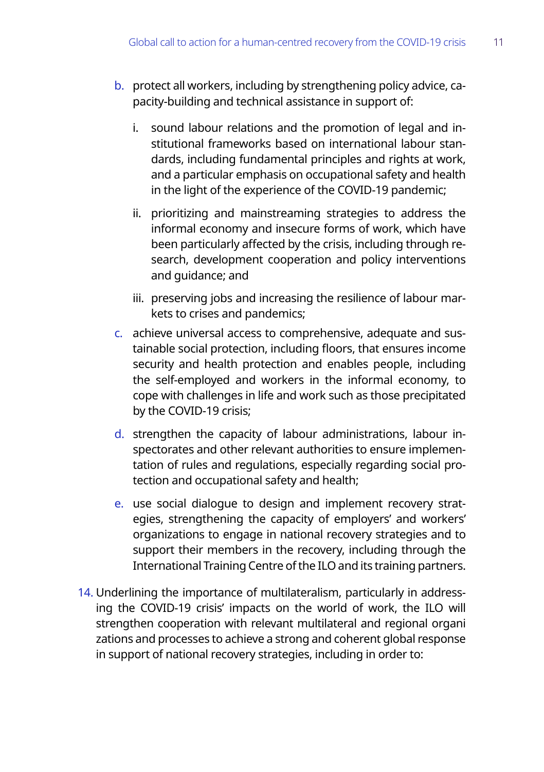- b. protect all workers, including by strengthening policy advice, capacity-building and technical assistance in support of:
	- i. sound labour relations and the promotion of legal and institutional frameworks based on international labour standards, including fundamental principles and rights at work, and a particular emphasis on occupational safety and health in the light of the experience of the COVID-19 pandemic;
	- ii. prioritizing and mainstreaming strategies to address the informal economy and insecure forms of work, which have been particularly affected by the crisis, including through research, development cooperation and policy interventions and guidance; and
	- iii. preserving jobs and increasing the resilience of labour markets to crises and pandemics;
- c. achieve universal access to comprehensive, adequate and sustainable social protection, including floors, that ensures income security and health protection and enables people, including the self-employed and workers in the informal economy, to cope with challenges in life and work such as those precipitated by the COVID-19 crisis;
- d. strengthen the capacity of labour administrations, labour inspectorates and other relevant authorities to ensure implementation of rules and regulations, especially regarding social protection and occupational safety and health;
- e. use social dialogue to design and implement recovery strategies, strengthening the capacity of employers' and workers' organizations to engage in national recovery strategies and to support their members in the recovery, including through the International Training Centre of the ILO and its training partners.
- 14. Underlining the importance of multilateralism, particularly in addressing the COVID-19 crisis' impacts on the world of work, the ILO will strengthen cooperation with relevant multilateral and regional organi zations and processes to achieve a strong and coherent global response in support of national recovery strategies, including in order to: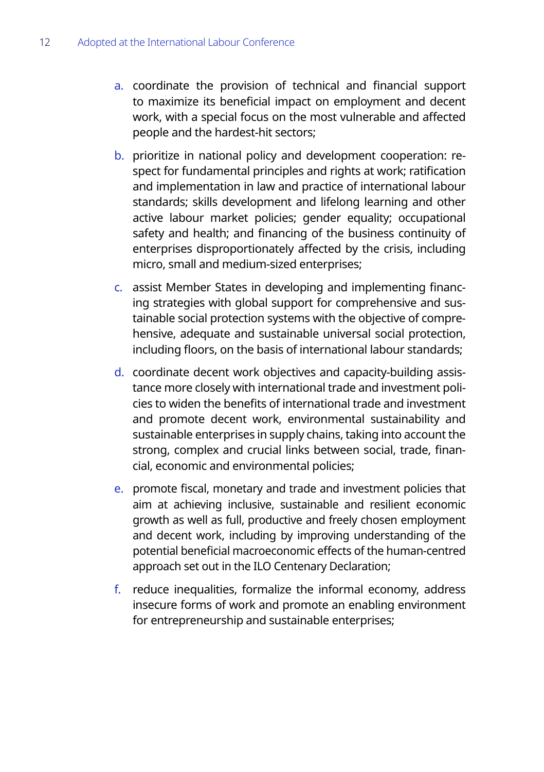- a. coordinate the provision of technical and financial support to maximize its beneficial impact on employment and decent work, with a special focus on the most vulnerable and affected people and the hardest-hit sectors;
- b. prioritize in national policy and development cooperation: respect for fundamental principles and rights at work; ratification and implementation in law and practice of international labour standards; skills development and lifelong learning and other active labour market policies; gender equality; occupational safety and health; and financing of the business continuity of enterprises disproportionately affected by the crisis, including micro, small and medium-sized enterprises;
- c. assist Member States in developing and implementing financing strategies with global support for comprehensive and sustainable social protection systems with the objective of comprehensive, adequate and sustainable universal social protection, including floors, on the basis of international labour standards;
- d. coordinate decent work objectives and capacity-building assistance more closely with international trade and investment policies to widen the benefits of international trade and investment and promote decent work, environmental sustainability and sustainable enterprises in supply chains, taking into account the strong, complex and crucial links between social, trade, financial, economic and environmental policies;
- e. promote fiscal, monetary and trade and investment policies that aim at achieving inclusive, sustainable and resilient economic growth as well as full, productive and freely chosen employment and decent work, including by improving understanding of the potential beneficial macroeconomic effects of the human-centred approach set out in the ILO Centenary Declaration;
- f. reduce inequalities, formalize the informal economy, address insecure forms of work and promote an enabling environment for entrepreneurship and sustainable enterprises;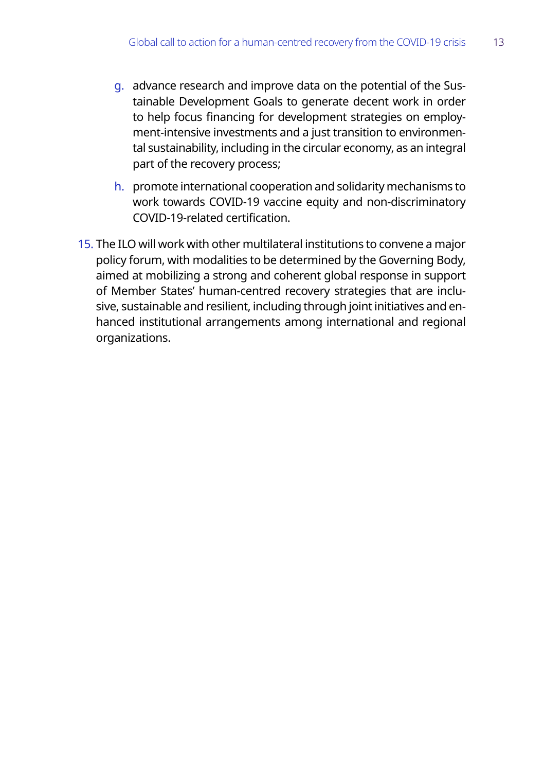- g. advance research and improve data on the potential of the Sustainable Development Goals to generate decent work in order to help focus financing for development strategies on employment-intensive investments and a just transition to environmental sustainability, including in the circular economy, as an integral part of the recovery process;
- h. promote international cooperation and solidarity mechanisms to work towards COVID-19 vaccine equity and non-discriminatory COVID-19-related certification.
- 15. The ILO will work with other multilateral institutions to convene a major policy forum, with modalities to be determined by the Governing Body, aimed at mobilizing a strong and coherent global response in support of Member States' human-centred recovery strategies that are inclusive, sustainable and resilient, including through joint initiatives and enhanced institutional arrangements among international and regional organizations.